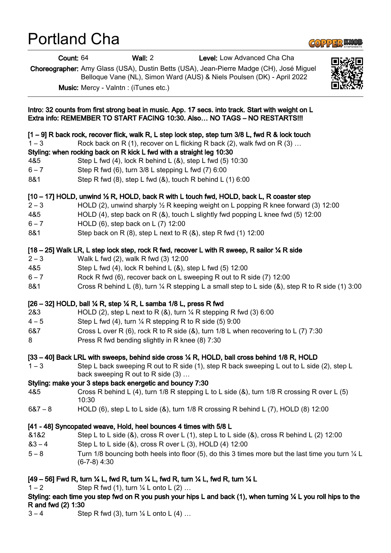# Portland Cha

Count: 64 Wall: 2 Level: Low Advanced Cha Cha

Choreographer: Amy Glass (USA), Dustin Betts (USA), Jean-Pierre Madge (CH), José Miguel Belloque Vane (NL), Simon Ward (AUS) & Niels Poulsen (DK) - April 2022

Music: Mercy - Valntn : (iTunes etc.)

Intro: 32 counts from first strong beat in music. App. 17 secs. into track. Start with weight on L Extra info: REMEMBER TO START FACING 10:30. Also… NO TAGS – NO RESTARTS!!! [1 – 9] R back rock, recover flick, walk R, L step lock step, step turn 3/8 L, fwd R & lock touch 1 – 3 Rock back on R (1), recover on L flicking R back (2), walk fwd on R (3) … Styling: when rocking back on R kick L fwd with a straight leg 10:30 4&5 Step L fwd (4), lock R behind L (&), step L fwd (5) 10:30 6 – 7 Step R fwd (6), turn 3/8 L stepping L fwd (7) 6:00 8&1 Step R fwd (8), step L fwd (&), touch R behind L (1) 6:00  $[10 - 17]$  HOLD, unwind  $\frac{1}{2}$  R, HOLD, back R with L touch fwd, HOLD, back L, R coaster step 2 – 3 HOLD (2), unwind sharply  $\frac{1}{2}$  R keeping weight on L popping R knee forward (3) 12:00 4&5 HOLD (4), step back on R (&), touch L slightly fwd popping L knee fwd (5) 12:00 6 – 7 HOLD (6), step back on L (7) 12:00 8&1 Step back on R (8), step L next to R (&), step R fwd (1) 12:00 [18 – 25] Walk LR, L step lock step, rock R fwd, recover L with R sweep, R sailor ¼ R side 2 – 3 Walk L fwd (2), walk R fwd (3) 12:00 4&5 Step L fwd (4), lock R behind L (&), step L fwd (5) 12:00 6 – 7 Rock R fwd (6), recover back on L sweeping R out to R side (7) 12:00 8&1 Cross R behind L (8), turn ¼ R stepping L a small step to L side (8), step R to R side (1) 3:00 [26 – 32] HOLD, ball ¼ R, step ¼ R, L samba 1/8 L, press R fwd 2&3 HOLD (2), step L next to R (&), turn  $\frac{1}{4}$  R stepping R fwd (3) 6:00  $4-5$  Step L fwd (4), turn  $\frac{1}{4}$  R stepping R to R side (5) 9:00 6&7 Cross L over R (6), rock R to R side (&), turn 1/8 L when recovering to L (7) 7:30 8 **Press R fwd bending slightly in R knee (8) 7:30** 

## [33 – 40] Back LRL with sweeps, behind side cross ¼ R, HOLD, ball cross behind 1/8 R, HOLD

1 – 3 Step L back sweeping R out to R side (1), step R back sweeping L out to L side (2), step L back sweeping R out to R side (3) …

## Styling: make your 3 steps back energetic and bouncy 7:30

- 4&5 Cross R behind L (4), turn 1/8 R stepping L to L side (&), turn 1/8 R crossing R over L (5) 10:30
- 6&7 8 HOLD (6), step L to L side (&), turn 1/8 R crossing R behind L (7), HOLD (8) 12:00

# [41 - 48] Syncopated weave, Hold, heel bounces 4 times with 5/8 L

- &1&2 Step L to L side (&), cross R over L (1), step L to L side (&), cross R behind L (2) 12:00
- &3 4 Step L to L side (&), cross R over L (3), HOLD (4) 12:00
- 5 8 Turn 1/8 bouncing both heels into floor (5), do this 3 times more but the last time you turn ¼ L (6-7-8) 4:30

# [49 – 56] Fwd R, turn ¼ L, fwd R, turn ¼ L, fwd R, turn ¼ L, fwd R, turn ¼ L

1 – 2 Step R fwd (1), turn  $\frac{1}{4}$  L onto L (2) ...

## Styling: each time you step fwd on R you push your hips L and back (1), when turning ¼ L you roll hips to the R and fwd (2) 1:30

 $3 - 4$  Step R fwd (3), turn  $\frac{1}{4}$  L onto L (4) ...